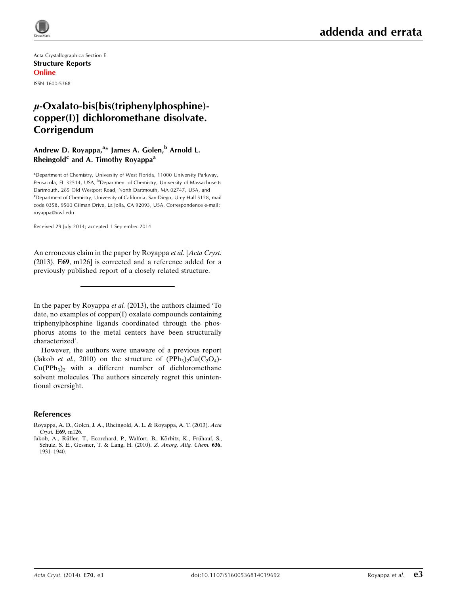

Acta Crystallographica Section E Structure Reports Online ISSN 1600-5368

# $\mu$ -Oxalato-bis[bis(triphenylphosphine)copper(I)] dichloromethane disolvate. Corrigendum

## Andrew D. Royappa,<sup>a</sup>\* James A. Golen,<sup>b</sup> Arnold L. Rheingold<sup>c</sup> and A. Timothy Royappa<sup>a</sup>

<sup>a</sup> Department of Chemistry, University of West Florida, 11000 University Parkway, Pensacola, FL 32514, USA, <sup>b</sup>Department of Chemistry, University of Massachusetts Dartmouth, 285 Old Westport Road, North Dartmouth, MA 02747, USA, and <sup>c</sup>Department of Chemistry, University of California, San Diego, Urey Hall 5128, mail code 0358, 9500 Gilman Drive, La Jolla, CA 92093, USA. Correspondence e-mail: royappa@uwf.edu

Received 29 July 2014; accepted 1 September 2014

An erroneous claim in the paper by Royappa et al. [Acta Cryst. (2013), E69, m126] is corrected and a reference added for a previously published report of a closely related structure.

In the paper by Royappa et al. (2013), the authors claimed 'To date, no examples of copper(I) oxalate compounds containing triphenylphosphine ligands coordinated through the phosphorus atoms to the metal centers have been structurally characterized'.

However, the authors were unaware of a previous report (Jakob *et al.*, 2010) on the structure of  $(PPh<sub>3</sub>)<sub>2</sub>Cu(C<sub>2</sub>O<sub>4</sub>)$ - $Cu(PPh<sub>3</sub>)$ <sub>2</sub> with a different number of dichloromethane solvent molecules. The authors sincerely regret this unintentional oversight.

### References

[Royappa, A. D., Golen, J. A., Rheingold, A. L. & Royappa, A. T. \(2013\).](https://scripts.iucr.org/cgi-bin/cr.cgi?rm=pdfbb&cnor=lh9575&bbid=BB1) Acta Cryst. E69[, m126.](https://scripts.iucr.org/cgi-bin/cr.cgi?rm=pdfbb&cnor=lh9575&bbid=BB1)

Jakob, A., Rüffer, T., Ecorchard, P., Walfort, B., Körbitz, K., Frühauf, S., [Schulz, S. E., Gessner, T. & Lang, H. \(2010\).](https://scripts.iucr.org/cgi-bin/cr.cgi?rm=pdfbb&cnor=lh9575&bbid=BB2) Z. Anorg. Allg. Chem. 636, [1931–1940.](https://scripts.iucr.org/cgi-bin/cr.cgi?rm=pdfbb&cnor=lh9575&bbid=BB2)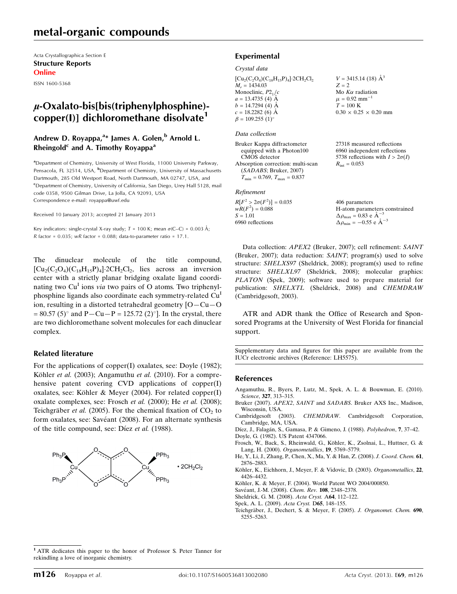# metal-organic compounds

Acta Crystallographica Section E Structure Reports Online

ISSN 1600-5368

# $\mu$ -Oxalato-bis[bis(triphenylphosphine)copper(I)] dichloromethane disolvate<sup>1</sup>

## Andrew D. Royappa,<sup>a</sup>\* James A. Golen,<sup>b</sup> Arnold L. Rheingold<sup>c</sup> and A. Timothy Royappa<sup>a</sup>

<sup>a</sup>Department of Chemistry, University of West Florida, 11000 University Parkway, Pensacola, FL 32514, USA, <sup>b</sup>Department of Chemistry, University of Massachusetts Dartmouth, 285 Old Westport Road, North Dartmouth, MA 02747, USA, and <sup>c</sup>Department of Chemistry, University of California, San Diego, Urey Hall 5128, mail code 0358, 9500 Gilman Drive, La Jolla, CA 92093, USA Correspondence e-mail: [royappa@uwf.edu](https://scripts.iucr.org/cgi-bin/cr.cgi?rm=pdfbb&cnor=lh5575&bbid=BB13)

Received 10 January 2013; accepted 21 January 2013

Key indicators: single-crystal X-ray study;  $T = 100$  K; mean  $\sigma$ (C–C) = 0.003 Å;  $R$  factor = 0.035;  $wR$  factor = 0.088; data-to-parameter ratio = 17.1.

The dinuclear molecule of the title compound,  $\left[\text{Cu}_2(\text{C}_2\text{O}_4)(\text{C}_{18}\text{H}_{15}\text{P})_4\right]$ -2CH<sub>2</sub>Cl<sub>2</sub>, lies across an inversion center with a strictly planar bridging oxalate ligand coordinating two  $Cu<sup>1</sup>$  ions *via* two pairs of O atoms. Two triphenylphosphine ligands also coordinate each symmetry-related Cu<sup>1</sup> ion, resulting in a distorted tetrahedral geometry [O—Cu—O  $= 80.57$  (5)° and P—Cu—P = 125.72 (2)°]. In the crystal, there are two dichloromethane solvent molecules for each dinuclear complex.

### Related literature

For the applications of copper(I) oxalates, see: Doyle (1982); Köhler et al. (2003); Angamuthu et al. (2010). For a comprehensive patent covering CVD applications of copper(I) oxalates, see: Köhler & Meyer (2004). For related copper(I) oxalate complexes, see: Frosch et al. (2000); He et al. (2008); Teichgräber et al. (2005). For the chemical fixation of  $CO<sub>2</sub>$  to form oxalates, see: Savéant (2008). For an alternate synthesis of the title compound, see: Díez et al. (1988).



# Experimental

#### Crystal data

 $[Cu_2(C_2O_4)(C_{18}H_{15}P)_4]$ -2CH<sub>2</sub>Cl<sub>2</sub>  $M_r = 1434.03$ Monoclinic,  $P2<sub>1</sub>/c$  $a = 13.4735(4)$  Å  $b = 14.7294$  (4)  $\AA$  $c = 18.2282(6)$  Å  $\beta = 109.255$  (1)<sup>o</sup>

#### Data collection

Bruker Kappa diffractometer equipped with a Photon100 CMOS detector Absorption correction: multi-scan (SADABS; Bruker, 2007)  $T_{\text{min}} = 0.769, T_{\text{max}} = 0.837$ 

#### Refinement

| $R[F^2 > 2\sigma(F^2)] = 0.035$ | 406 parameters                                     |
|---------------------------------|----------------------------------------------------|
| $wR(F^2) = 0.088$               | H-atom parameters constrained                      |
| $S = 1.01$                      | $\Delta \rho_{\text{max}} = 0.83 \text{ e A}^{-3}$ |
| 6960 reflections                | $\Delta \rho_{\rm min} = -0.55$ e $\rm \AA^{-3}$   |

Data collection: APEX2 (Bruker, 2007); cell refinement: SAINT (Bruker, 2007); data reduction: SAINT; program(s) used to solve structure: SHELXS97 (Sheldrick, 2008); program(s) used to refine structure: SHELXL97 (Sheldrick, 2008); molecular graphics: PLATON (Spek, 2009); software used to prepare material for publication: SHELXTL (Sheldrick, 2008) and CHEMDRAW (Cambridgesoft, 2003).

 $V = 3415.14$  (18)  $\AA^3$ 

 $0.30 \times 0.25 \times 0.20$  mm

27318 measured reflections 6960 independent reflections 5738 reflections with  $I > 2\sigma(I)$ 

Mo  $K\alpha$  radiation  $\mu = 0.92$  mm<sup>-1</sup>  $T = 100$  K

 $R_{\text{int}} = 0.053$ 

 $Z = 2$ 

ATR and ADR thank the Office of Research and Sponsored Programs at the University of West Florida for financial support.

Supplementary data and figures for this paper are available from the IUCr electronic archives (Reference: LH5575).

#### References

- [Angamuthu, R., Byers, P., Lutz, M., Spek, A. L. & Bouwman, E. \(2010\).](https://scripts.iucr.org/cgi-bin/cr.cgi?rm=pdfbb&cnor=lh5575&bbid=BB1) Science, 327[, 313–315.](https://scripts.iucr.org/cgi-bin/cr.cgi?rm=pdfbb&cnor=lh5575&bbid=BB1)
- Bruker (2007). APEX2, SAINT and SADABS[. Bruker AXS Inc., Madison,](https://scripts.iucr.org/cgi-bin/cr.cgi?rm=pdfbb&cnor=lh5575&bbid=BB2) [Wisconsin, USA.](https://scripts.iucr.org/cgi-bin/cr.cgi?rm=pdfbb&cnor=lh5575&bbid=BB2)
- Cambridgesoft (2003). CHEMDRAW[. Cambridgesoft Corporation,](https://scripts.iucr.org/cgi-bin/cr.cgi?rm=pdfbb&cnor=lh5575&bbid=BB3) [Cambridge, MA, USA.](https://scripts.iucr.org/cgi-bin/cr.cgi?rm=pdfbb&cnor=lh5575&bbid=BB3)
- Díez, J., Falagán, S., Gamasa, P. & Gimeno, J. (1988). Polyhedron, 7, 37-42. [Doyle, G. \(1982\). US Patent 4347066.](https://scripts.iucr.org/cgi-bin/cr.cgi?rm=pdfbb&cnor=lh5575&bbid=BB5)
- Frosch, W., Back, S., Rheinwald, G., Köhler, K., Zsolnai, L., Huttner, G. & [Lang, H. \(2000\).](https://scripts.iucr.org/cgi-bin/cr.cgi?rm=pdfbb&cnor=lh5575&bbid=BB6) Organometallics, 19, 5769–5779.
- [He, Y., Li, J., Zhang, P., Chen, X., Ma, Y. & Han, Z. \(2008\).](https://scripts.iucr.org/cgi-bin/cr.cgi?rm=pdfbb&cnor=lh5575&bbid=BB7) J. Coord. Chem. 61, [2876–2883.](https://scripts.iucr.org/cgi-bin/cr.cgi?rm=pdfbb&cnor=lh5575&bbid=BB7)

Köhler, K., Eichhorn, J., Meyer, F. & Vidovic, D. (2003). Organometallics, 22, [4426–4432.](https://scripts.iucr.org/cgi-bin/cr.cgi?rm=pdfbb&cnor=lh5575&bbid=BB8)

- Köhler, K. & Meyer, F. (2004). World Patent WO 2004/000850.
- Savéant, J.-M. (2008). Chem. Rev. 108, 2348-2378.
- [Sheldrick, G. M. \(2008\).](https://scripts.iucr.org/cgi-bin/cr.cgi?rm=pdfbb&cnor=lh5575&bbid=BB11) Acta Cryst. A64, 112–122.
- [Spek, A. L. \(2009\).](https://scripts.iucr.org/cgi-bin/cr.cgi?rm=pdfbb&cnor=lh5575&bbid=BB12) Acta Cryst. D65, 148–155.
- Teichgräber, J., Dechert, S. & Meyer, F. (2005). J. Organomet. Chem. 690, [5255–5263.](https://scripts.iucr.org/cgi-bin/cr.cgi?rm=pdfbb&cnor=lh5575&bbid=BB13)

<sup>1</sup> ATR dedicates this paper to the honor of Professor S. Peter Tanner for rekindling a love of inorganic chemistry.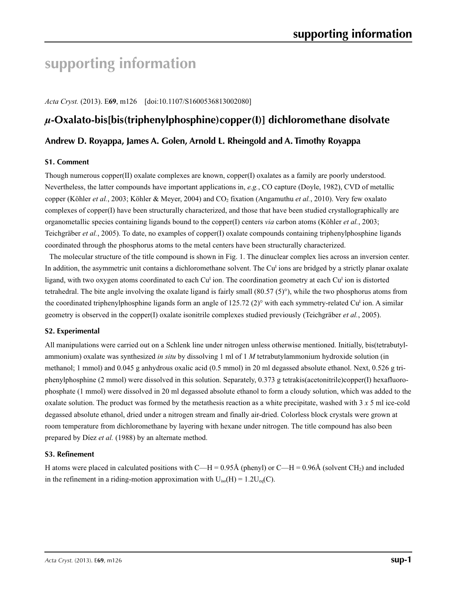# **supporting information**

*Acta Cryst.* (2013). E**69**, m126 [doi:10.1107/S1600536813002080]

# *µ***-Oxalato-bis[bis(triphenylphosphine)copper(I)] dichloromethane disolvate**

# **Andrew D. Royappa, James A. Golen, Arnold L. Rheingold and A. Timothy Royappa**

### **S1. Comment**

Though numerous copper(II) oxalate complexes are known, copper(I) oxalates as a family are poorly understood. Nevertheless, the latter compounds have important applications in, *e.g.*, CO capture (Doyle, 1982), CVD of metallic copper (Köhler *et al.*, 2003; Köhler & Meyer, 2004) and CO<sub>2</sub> fixation (Angamuthu *et al.*, 2010). Very few oxalato complexes of copper(I) have been structurally characterized, and those that have been studied crystallographically are organometallic species containing ligands bound to the copper(I) centers *via* carbon atoms (Köhler *et al.*, 2003; Teichgräber *et al.*, 2005). To date, no examples of copper(I) oxalate compounds containing triphenylphosphine ligands coordinated through the phosphorus atoms to the metal centers have been structurally characterized.

The molecular structure of the title compound is shown in Fig. 1. The dinuclear complex lies across an inversion center. In addition, the asymmetric unit contains a dichloromethane solvent. The  $Cu<sup>I</sup>$  ions are bridged by a strictly planar oxalate ligand, with two oxygen atoms coordinated to each Cu<sup>I</sup> ion. The coordination geometry at each Cu<sup>I</sup> ion is distorted tetrahedral. The bite angle involving the oxalate ligand is fairly small  $(80.57(5)°)$ , while the two phosphorus atoms from the coordinated triphenylphosphine ligands form an angle of 125.72 (2)° with each symmetry-related Cu<sup>I</sup> ion. A similar geometry is observed in the copper(I) oxalate isonitrile complexes studied previously (Teichgräber *et al.*, 2005).

### **S2. Experimental**

All manipulations were carried out on a Schlenk line under nitrogen unless otherwise mentioned. Initially, bis(tetrabutylammonium) oxalate was synthesized *in situ* by dissolving 1 ml of 1 *M* tetrabutylammonium hydroxide solution (in methanol; 1 mmol) and 0.045 g anhydrous oxalic acid (0.5 mmol) in 20 ml degassed absolute ethanol. Next, 0.526 g triphenylphosphine (2 mmol) were dissolved in this solution. Separately, 0.373 g tetrakis(acetonitrile)copper(I) hexafluorophosphate (1 mmol) were dissolved in 20 ml degassed absolute ethanol to form a cloudy solution, which was added to the oxalate solution. The product was formed by the metathesis reaction as a white precipitate, washed with 3 *x* 5 ml ice-cold degassed absolute ethanol, dried under a nitrogen stream and finally air-dried. Colorless block crystals were grown at room temperature from dichloromethane by layering with hexane under nitrogen. The title compound has also been prepared by Díez *et al.* (1988) by an alternate method.

### **S3. Refinement**

H atoms were placed in calculated positions with C—H = 0.95Å (phenyl) or C—H = 0.96Å (solvent CH<sub>2</sub>) and included in the refinement in a riding-motion approximation with  $U_{iso}(H) = 1.2U_{eq}(C)$ .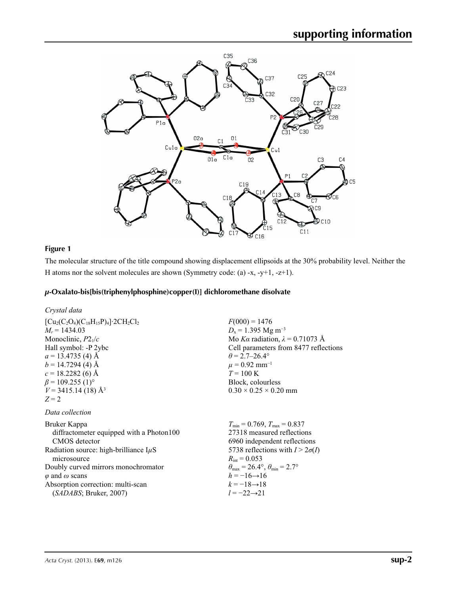

# **Figure 1**

The molecular structure of the title compound showing displacement ellipsoids at the 30% probability level. Neither the H atoms nor the solvent molecules are shown (Symmetry code: (a) -x, -y+1, -z+1).

### *µ***-Oxalato-bis[bis(triphenylphosphine)copper(I)] dichloromethane disolvate**

### *Crystal data*

| $[Cu_2(C_2O_4)(C_{18}H_{15}P)_4]$ 2CH <sub>2</sub> Cl <sub>2</sub> |
|--------------------------------------------------------------------|
| $M_r = 1434.03$                                                    |
| Monoclinic, $P2_1/c$                                               |
| Hall symbol: -P 2ybc                                               |
| $a = 13.4735$ (4) Å                                                |
| $b = 14.7294$ (4) Å                                                |
| $c = 18.2282(6)$ Å                                                 |
| $\beta$ = 109.255 (1) <sup>o</sup>                                 |
| $V = 3415.14(18)$ Å <sup>3</sup>                                   |
| $Z=2$                                                              |

### *Data collection*

Bruker Kappa diffractometer equipped with a Photon100 CMOS detector Radiation source: high-brilliance I*µ*S microsource Doubly curved mirrors monochromator *φ* and *ω* scans Absorption correction: multi-scan (*SADABS*; Bruker, 2007)

 $F(000) = 1476$  $D_x = 1.395$  Mg m<sup>-3</sup> Mo *Kα* radiation, *λ* = 0.71073 Å Cell parameters from 8477 reflections  $\theta$  = 2.7–26.4°  $\mu$  = 0.92 mm<sup>-1</sup>  $T = 100 K$ Block, colourless  $0.30 \times 0.25 \times 0.20$  mm

 $T_{\text{min}} = 0.769, T_{\text{max}} = 0.837$ 27318 measured reflections 6960 independent reflections 5738 reflections with  $I > 2\sigma(I)$  $R_{\text{int}} = 0.053$  $\theta_{\text{max}} = 26.4^{\circ}, \theta_{\text{min}} = 2.7^{\circ}$  $h = -16 \rightarrow 16$  $k = -18 \rightarrow 18$ *l* = −22→21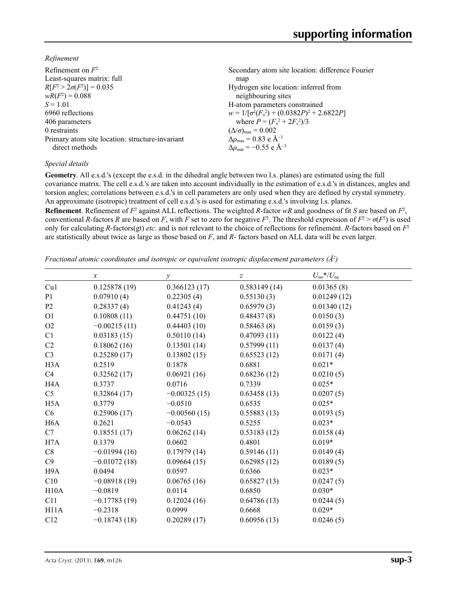*Refinement*

| Refinement on $F^2$                             | Secondary atom site location: difference Fourier   |
|-------------------------------------------------|----------------------------------------------------|
| Least-squares matrix: full                      | map                                                |
| $R[F^2 > 2\sigma(F^2)] = 0.035$                 | Hydrogen site location: inferred from              |
| $wR(F^2) = 0.088$                               | neighbouring sites                                 |
| $S = 1.01$                                      | H-atom parameters constrained                      |
| 6960 reflections                                | $w = 1/[\sigma^2(F_0^2) + (0.0382P)^2 + 2.6822P]$  |
| 406 parameters                                  | where $P = (F_o^2 + 2F_c^2)/3$                     |
| 0 restraints                                    | $(\Delta/\sigma)_{\text{max}} = 0.002$             |
| Primary atom site location: structure-invariant | $\Delta\rho_{\text{max}} = 0.83$ e Å <sup>-3</sup> |
| direct methods                                  | $\Delta \rho_{\rm min} = -0.55$ e Å <sup>-3</sup>  |
|                                                 |                                                    |

### *Special details*

**Geometry**. All e.s.d.'s (except the e.s.d. in the dihedral angle between two l.s. planes) are estimated using the full covariance matrix. The cell e.s.d.'s are taken into account individually in the estimation of e.s.d.'s in distances, angles and torsion angles; correlations between e.s.d.'s in cell parameters are only used when they are defined by crystal symmetry. An approximate (isotropic) treatment of cell e.s.d.'s is used for estimating e.s.d.'s involving l.s. planes.

**Refinement**. Refinement of  $F^2$  against ALL reflections. The weighted R-factor wR and goodness of fit *S* are based on  $F^2$ , conventional *R*-factors *R* are based on *F*, with *F* set to zero for negative  $F^2$ . The threshold expression of  $F^2 > \sigma(F^2)$  is used only for calculating *R*-factors(gt) *etc*. and is not relevant to the choice of reflections for refinement. *R*-factors based on *F*<sup>2</sup> are statistically about twice as large as those based on *F*, and *R*- factors based on ALL data will be even larger.

*Fractional atomic coordinates and isotropic or equivalent isotropic displacement parameters (Å<sup>2</sup>)* 

|                   | $\mathcal{X}$  | у              | $\boldsymbol{Z}$ | $U_{\rm iso}$ */ $U_{\rm eq}$ |
|-------------------|----------------|----------------|------------------|-------------------------------|
| Cu1               | 0.125878(19)   | 0.366123(17)   | 0.583149(14)     | 0.01365(8)                    |
| P <sub>1</sub>    | 0.07910(4)     | 0.22305(4)     | 0.55130(3)       | 0.01249(12)                   |
| P <sub>2</sub>    | 0.28337(4)     | 0.41243(4)     | 0.65979(3)       | 0.01340(12)                   |
| O <sub>1</sub>    | 0.10808(11)    | 0.44751(10)    | 0.48437(8)       | 0.0150(3)                     |
| O2                | $-0.00215(11)$ | 0.44403(10)    | 0.58463(8)       | 0.0159(3)                     |
| C1                | 0.03183(15)    | 0.50110(14)    | 0.47093(11)      | 0.0122(4)                     |
| C <sub>2</sub>    | 0.18062(16)    | 0.13501(14)    | 0.57999(11)      | 0.0137(4)                     |
| C <sub>3</sub>    | 0.25280(17)    | 0.13802(15)    | 0.65523(12)      | 0.0171(4)                     |
| H <sub>3</sub> A  | 0.2519         | 0.1878         | 0.6881           | $0.021*$                      |
| C4                | 0.32562(17)    | 0.06921(16)    | 0.68236(12)      | 0.0210(5)                     |
| H4A               | 0.3737         | 0.0716         | 0.7339           | $0.025*$                      |
| C <sub>5</sub>    | 0.32864(17)    | $-0.00325(15)$ | 0.63458(13)      | 0.0207(5)                     |
| H <sub>5</sub> A  | 0.3779         | $-0.0510$      | 0.6535           | $0.025*$                      |
| C6                | 0.25906(17)    | $-0.00560(15)$ | 0.55883(13)      | 0.0193(5)                     |
| H <sub>6</sub> A  | 0.2621         | $-0.0543$      | 0.5255           | $0.023*$                      |
| C7                | 0.18551(17)    | 0.06262(14)    | 0.53183(12)      | 0.0158(4)                     |
| H7A               | 0.1379         | 0.0602         | 0.4801           | $0.019*$                      |
| C8                | $-0.01994(16)$ | 0.17979(14)    | 0.59146(11)      | 0.0149(4)                     |
| C9                | $-0.01072(18)$ | 0.09664(15)    | 0.62985(12)      | 0.0189(5)                     |
| H <sub>9</sub> A  | 0.0494         | 0.0597         | 0.6366           | $0.023*$                      |
| C10               | $-0.08918(19)$ | 0.06765(16)    | 0.65827(13)      | 0.0247(5)                     |
| H10A              | $-0.0819$      | 0.0114         | 0.6850           | $0.030*$                      |
| C11               | $-0.17783(19)$ | 0.12024(16)    | 0.64786(13)      | 0.0244(5)                     |
| H <sub>11</sub> A | $-0.2318$      | 0.0999         | 0.6668           | $0.029*$                      |
| C12               | $-0.18743(18)$ | 0.20289(17)    | 0.60956(13)      | 0.0246(5)                     |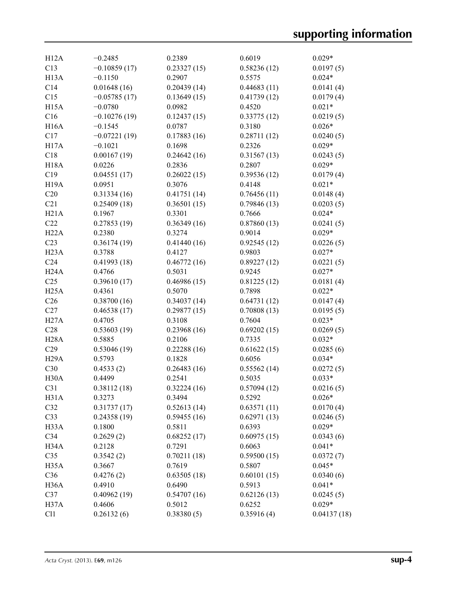| H12A              | $-0.2485$      | 0.2389      | 0.6019      | $0.029*$    |
|-------------------|----------------|-------------|-------------|-------------|
| C13               | $-0.10859(17)$ | 0.23327(15) | 0.58236(12) | 0.0197(5)   |
| H <sub>13</sub> A | $-0.1150$      | 0.2907      | 0.5575      | $0.024*$    |
| C14               | 0.01648(16)    | 0.20439(14) | 0.44683(11) | 0.0141(4)   |
| C15               | $-0.05785(17)$ | 0.13649(15) | 0.41739(12) | 0.0179(4)   |
| H <sub>15</sub> A | $-0.0780$      | 0.0982      | 0.4520      | $0.021*$    |
| C16               | $-0.10276(19)$ | 0.12437(15) | 0.33775(12) | 0.0219(5)   |
| H16A              | $-0.1545$      | 0.0787      | 0.3180      | $0.026*$    |
| C17               | $-0.07221(19)$ | 0.17883(16) | 0.28711(12) | 0.0240(5)   |
| H <sub>17</sub> A | $-0.1021$      | 0.1698      | 0.2326      | $0.029*$    |
| C18               | 0.00167(19)    | 0.24642(16) | 0.31567(13) | 0.0243(5)   |
| <b>H18A</b>       | 0.0226         | 0.2836      | 0.2807      | $0.029*$    |
| C19               | 0.04551(17)    | 0.26022(15) | 0.39536(12) | 0.0179(4)   |
| H <sub>19</sub> A | 0.0951         | 0.3076      | 0.4148      | $0.021*$    |
| C20               | 0.31334(16)    | 0.41751(14) | 0.76456(11) | 0.0148(4)   |
| C21               | 0.25409(18)    | 0.36501(15) | 0.79846(13) | 0.0203(5)   |
| H21A              | 0.1967         | 0.3301      | 0.7666      | $0.024*$    |
| C22               | 0.27853(19)    | 0.36349(16) | 0.87860(13) | 0.0241(5)   |
| H22A              | 0.2380         | 0.3274      | 0.9014      | $0.029*$    |
| C <sub>23</sub>   | 0.36174(19)    | 0.41440(16) | 0.92545(12) | 0.0226(5)   |
| H23A              | 0.3788         | 0.4127      | 0.9803      | $0.027*$    |
| C <sub>24</sub>   | 0.41993(18)    | 0.46772(16) | 0.89227(12) | 0.0221(5)   |
| H24A              | 0.4766         | 0.5031      | 0.9245      | $0.027*$    |
| C <sub>25</sub>   | 0.39610(17)    | 0.46986(15) | 0.81225(12) | 0.0181(4)   |
| H25A              | 0.4361         | 0.5070      | 0.7898      | $0.022*$    |
| C <sub>26</sub>   | 0.38700(16)    | 0.34037(14) | 0.64731(12) | 0.0147(4)   |
| C27               | 0.46538(17)    | 0.29877(15) | 0.70808(13) | 0.0195(5)   |
| H27A              | 0.4705         | 0.3108      | 0.7604      | $0.023*$    |
| C28               | 0.53603(19)    | 0.23968(16) | 0.69202(15) | 0.0269(5)   |
| <b>H28A</b>       | 0.5885         | 0.2106      | 0.7335      | $0.032*$    |
| C29               | 0.53046(19)    | 0.22288(16) | 0.61622(15) | 0.0285(6)   |
| H29A              | 0.5793         | 0.1828      | 0.6056      | $0.034*$    |
| C30               | 0.4533(2)      | 0.26483(16) | 0.55562(14) | 0.0272(5)   |
| H <sub>30</sub> A | 0.4499         | 0.2541      | 0.5035      | $0.033*$    |
| C31               | 0.38112(18)    | 0.32224(16) | 0.57094(12) | 0.0216(5)   |
| H31A              | 0.3273         | 0.3494      | 0.5292      | $0.026*$    |
| C32               | 0.31737(17)    | 0.52613(14) | 0.63571(11) | 0.0170(4)   |
| C33               | 0.24358(19)    | 0.59455(16) | 0.62971(13) | 0.0246(5)   |
| H <sub>3</sub> 3A | 0.1800         | 0.5811      | 0.6393      | $0.029*$    |
| C34               | 0.2629(2)      | 0.68252(17) | 0.60975(15) | 0.0343(6)   |
| H34A              | 0.2128         | 0.7291      | 0.6063      | $0.041*$    |
| C35               | 0.3542(2)      | 0.70211(18) | 0.59500(15) | 0.0372(7)   |
| H <sub>35</sub> A | 0.3667         | 0.7619      | 0.5807      | $0.045*$    |
| C36               | 0.4276(2)      | 0.63505(18) | 0.60101(15) | 0.0340(6)   |
| H <sub>36</sub> A | 0.4910         | 0.6490      | 0.5913      | $0.041*$    |
| C37               | 0.40962(19)    | 0.54707(16) | 0.62126(13) | 0.0245(5)   |
| H <sub>37</sub> A | 0.4606         | 0.5012      | 0.6252      | $0.029*$    |
| C11               | 0.26132(6)     | 0.38380(5)  | 0.35916(4)  | 0.04137(18) |
|                   |                |             |             |             |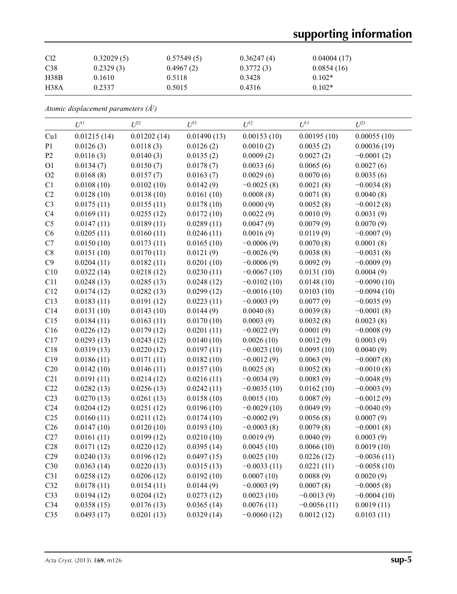# **supporting information**

| Cl <sub>2</sub>  | 0.32029(5) | 0.57549(5) | 0.36247(4) | 0.04004(17) |
|------------------|------------|------------|------------|-------------|
| C38              | 0.2329(3)  | 0.4967(2)  | 0.3772(3)  | 0.0854(16)  |
| H38B             | 0.1610     | 0.5118     | 0.3428     | $0.102*$    |
| H <sub>38A</sub> | 0.2337     | 0.5015     | 0.4316     | $0.102*$    |

*Atomic displacement parameters (Å2 )*

|                 | $U^{11}$    | $U^{22}$    | $U^{33}$    | $U^{12}$      | $U^{13}$      | $U^{23}$      |
|-----------------|-------------|-------------|-------------|---------------|---------------|---------------|
| Cu1             | 0.01215(14) | 0.01202(14) | 0.01490(13) | 0.00153(10)   | 0.00195(10)   | 0.00055(10)   |
| P1              | 0.0126(3)   | 0.0118(3)   | 0.0126(2)   | 0.0010(2)     | 0.0035(2)     | 0.00036(19)   |
| P2              | 0.0116(3)   | 0.0140(3)   | 0.0135(2)   | 0.0009(2)     | 0.0027(2)     | $-0.0001(2)$  |
| O <sub>1</sub>  | 0.0134(7)   | 0.0150(7)   | 0.0178(7)   | 0.0033(6)     | 0.0065(6)     | 0.0027(6)     |
| O2              | 0.0168(8)   | 0.0157(7)   | 0.0163(7)   | 0.0029(6)     | 0.0070(6)     | 0.0035(6)     |
| C1              | 0.0108(10)  | 0.0102(10)  | 0.0142(9)   | $-0.0025(8)$  | 0.0021(8)     | $-0.0034(8)$  |
| C2              | 0.0128(10)  | 0.0138(10)  | 0.0161(10)  | 0.0008(8)     | 0.0071(8)     | 0.0040(8)     |
| C <sub>3</sub>  | 0.0175(11)  | 0.0155(11)  | 0.0178(10)  | 0.0000(9)     | 0.0052(8)     | $-0.0012(8)$  |
| C <sub>4</sub>  | 0.0169(11)  | 0.0255(12)  | 0.0172(10)  | 0.0022(9)     | 0.0010(9)     | 0.0031(9)     |
| C <sub>5</sub>  | 0.0147(11)  | 0.0189(11)  | 0.0289(11)  | 0.0047(9)     | 0.0079(9)     | 0.0070(9)     |
| C6              | 0.0205(11)  | 0.0160(11)  | 0.0246(11)  | 0.0016(9)     | 0.0119(9)     | $-0.0007(9)$  |
| C7              | 0.0150(10)  | 0.0173(11)  | 0.0165(10)  | $-0.0006(9)$  | 0.0070(8)     | 0.0001(8)     |
| $\rm{C}8$       | 0.0151(10)  | 0.0170(11)  | 0.0121(9)   | $-0.0026(9)$  | 0.0038(8)     | $-0.0031(8)$  |
| C9              | 0.0204(11)  | 0.0182(11)  | 0.0201(10)  | $-0.0006(9)$  | 0.0092(9)     | $-0.0009(9)$  |
| C10             | 0.0322(14)  | 0.0218(12)  | 0.0230(11)  | $-0.0067(10)$ | 0.0131(10)    | 0.0004(9)     |
| C11             | 0.0248(13)  | 0.0285(13)  | 0.0248(12)  | $-0.0102(10)$ | 0.0148(10)    | $-0.0090(10)$ |
| C12             | 0.0174(12)  | 0.0282(13)  | 0.0299(12)  | $-0.0016(10)$ | 0.0103(10)    | $-0.0094(10)$ |
| C13             | 0.0183(11)  | 0.0191(12)  | 0.0223(11)  | $-0.0003(9)$  | 0.0077(9)     | $-0.0035(9)$  |
| C14             | 0.0131(10)  | 0.0143(10)  | 0.0144(9)   | 0.0040(8)     | 0.0039(8)     | $-0.0001(8)$  |
| C15             | 0.0184(11)  | 0.0163(11)  | 0.0170(10)  | 0.0003(9)     | 0.0032(8)     | 0.0023(8)     |
| C16             | 0.0226(12)  | 0.0179(12)  | 0.0201(11)  | $-0.0022(9)$  | 0.0001(9)     | $-0.0008(9)$  |
| C17             | 0.0293(13)  | 0.0243(12)  | 0.0140(10)  | 0.0026(10)    | 0.0012(9)     | 0.0003(9)     |
| C18             | 0.0319(13)  | 0.0220(12)  | 0.0197(11)  | $-0.0023(10)$ | 0.0095(10)    | 0.0040(9)     |
| C19             | 0.0186(11)  | 0.0171(11)  | 0.0182(10)  | $-0.0012(9)$  | 0.0063(9)     | $-0.0007(8)$  |
| C20             | 0.0142(10)  | 0.0146(11)  | 0.0157(10)  | 0.0025(8)     | 0.0052(8)     | $-0.0010(8)$  |
| C21             | 0.0191(11)  | 0.0214(12)  | 0.0216(11)  | $-0.0034(9)$  | 0.0083(9)     | $-0.0048(9)$  |
| C22             | 0.0282(13)  | 0.0256(13)  | 0.0242(11)  | $-0.0035(10)$ | 0.0162(10)    | $-0.0003(9)$  |
| C <sub>23</sub> | 0.0270(13)  | 0.0261(13)  | 0.0158(10)  | 0.0015(10)    | 0.0087(9)     | $-0.0012(9)$  |
| C <sub>24</sub> | 0.0204(12)  | 0.0251(12)  | 0.0196(10)  | $-0.0029(10)$ | 0.0049(9)     | $-0.0040(9)$  |
| C <sub>25</sub> | 0.0160(11)  | 0.0211(12)  | 0.0174(10)  | $-0.0002(9)$  | 0.0056(8)     | 0.0007(9)     |
| C <sub>26</sub> | 0.0147(10)  | 0.0120(10)  | 0.0193(10)  | $-0.0003(8)$  | 0.0079(8)     | $-0.0001(8)$  |
| C27             | 0.0161(11)  | 0.0199(12)  | 0.0210(10)  | 0.0019(9)     | 0.0040(9)     | 0.0003(9)     |
| C28             | 0.0171(12)  | 0.0220(12)  | 0.0395(14)  | 0.0045(10)    | 0.0066(10)    | 0.0019(10)    |
| C29             | 0.0240(13)  | 0.0196(12)  | 0.0497(15)  | 0.0025(10)    | 0.0226(12)    | $-0.0036(11)$ |
| C30             | 0.0363(14)  | 0.0220(13)  | 0.0315(13)  | $-0.0033(11)$ | 0.0221(11)    | $-0.0058(10)$ |
| C31             | 0.0258(12)  | 0.0206(12)  | 0.0192(10)  | 0.0007(10)    | 0.0088(9)     | 0.0020(9)     |
| C32             | 0.0178(11)  | 0.0154(11)  | 0.0144(9)   | $-0.0003(9)$  | 0.0007(8)     | $-0.0005(8)$  |
| C33             | 0.0194(12)  | 0.0204(12)  | 0.0273(12)  | 0.0023(10)    | $-0.0013(9)$  | $-0.0004(10)$ |
| C34             | 0.0358(15)  | 0.0176(13)  | 0.0365(14)  | 0.0076(11)    | $-0.0056(11)$ | 0.0019(11)    |
| C35             | 0.0493(17)  | 0.0201(13)  | 0.0329(14)  | $-0.0060(12)$ | 0.0012(12)    | 0.0103(11)    |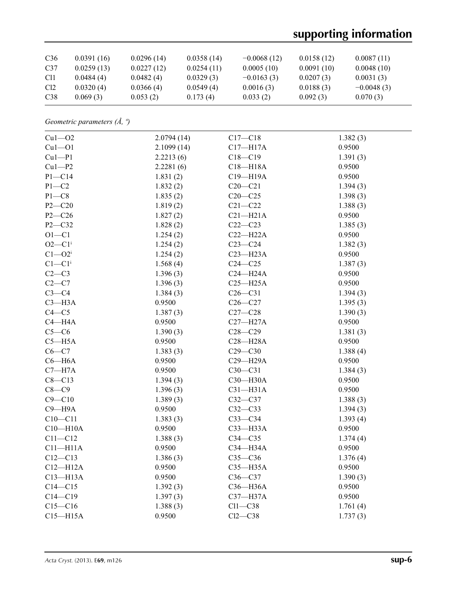# **supporting information**

| C <sub>36</sub> | 0.0391(16) | 0.0296(14) | 0.0358(14) | $-0.0068(12)$ | 0.0158(12) | 0.0087(11)   |
|-----------------|------------|------------|------------|---------------|------------|--------------|
| C <sub>37</sub> | 0.0259(13) | 0.0227(12) | 0.0254(11) | 0.0005(10)    | 0.0091(10) | 0.0048(10)   |
| C <sub>11</sub> | 0.0484(4)  | 0.0482(4)  | 0.0329(3)  | $-0.0163(3)$  | 0.0207(3)  | 0.0031(3)    |
| Cl <sub>2</sub> | 0.0320(4)  | 0.0366(4)  | 0.0549(4)  | 0.0016(3)     | 0.0188(3)  | $-0.0048(3)$ |
| C38             | 0.069(3)   | 0.053(2)   | 0.173(4)   | 0.033(2)      | 0.092(3)   | 0.070(3)     |

*Geometric parameters (Å, º)*

| $Cu1 - O2$             | 2.0794(14) | $C17 - C18$  | 1.382(3) |
|------------------------|------------|--------------|----------|
| $Cu1 - O1$             | 2.1099(14) | $C17 - H17A$ | 0.9500   |
| $Cu1-P1$               | 2.2213(6)  | $C18 - C19$  | 1.391(3) |
| $Cu1-P2$               | 2.2281(6)  | $C18 - H18A$ | 0.9500   |
| $P1 - C14$             | 1.831(2)   | C19-H19A     | 0.9500   |
| $P1 - C2$              | 1.832(2)   | $C20 - C21$  | 1.394(3) |
| $P1 - C8$              | 1.835(2)   | $C20 - C25$  | 1.398(3) |
| $P2 - C20$             | 1.819(2)   | $C21 - C22$  | 1.388(3) |
| $P2 - C26$             | 1.827(2)   | $C21 - H21A$ | 0.9500   |
| P2-C32                 | 1.828(2)   | $C22-C23$    | 1.385(3) |
| $O1 - C1$              | 1.254(2)   | $C22-H22A$   | 0.9500   |
| $O2 - C1$ <sup>i</sup> | 1.254(2)   | $C23-C24$    | 1.382(3) |
| $C1 - O2i$             | 1.254(2)   | $C23 - H23A$ | 0.9500   |
| $C1-C1$ <sup>i</sup>   | 1.568(4)   | $C24 - C25$  | 1.387(3) |
| $C2-C3$                | 1.396(3)   | $C24 - H24A$ | 0.9500   |
| $C2-C7$                | 1.396(3)   | $C25 - H25A$ | 0.9500   |
| $C3-C4$                | 1.384(3)   | $C26-C31$    | 1.394(3) |
| $C3 - H3A$             | 0.9500     | $C26 - C27$  | 1.395(3) |
| $C4 - C5$              | 1.387(3)   | $C27-C28$    | 1.390(3) |
| $C4 - H4A$             | 0.9500     | $C27 - H27A$ | 0.9500   |
| $C5-C6$                | 1.390(3)   | $C28 - C29$  | 1.381(3) |
| $C5 - H5A$             | 0.9500     | $C28 - H28A$ | 0.9500   |
| $C6-C7$                | 1.383(3)   | $C29 - C30$  | 1.388(4) |
| $C6 - H6A$             | 0.9500     | C29-H29A     | 0.9500   |
| $C7 - H7A$             | 0.9500     | $C30 - C31$  | 1.384(3) |
| $C8 - C13$             | 1.394(3)   | C30-H30A     | 0.9500   |
| $C8-C9$                | 1.396(3)   | $C31 - H31A$ | 0.9500   |
| $C9 - C10$             | 1.389(3)   | $C32 - C37$  | 1.388(3) |
| $C9 - H9A$             | 0.9500     | $C32-C33$    | 1.394(3) |
| $C10 - C11$            | 1.383(3)   | $C33-C34$    | 1.393(4) |
| $C10 - H10A$           | 0.9500     | C33-H33A     | 0.9500   |
| $C11 - C12$            | 1.388(3)   | $C34 - C35$  | 1.374(4) |
| $C11 - H11A$           | 0.9500     | C34-H34A     | 0.9500   |
| $C12-C13$              | 1.386(3)   | $C35-C36$    | 1.376(4) |
| $C12 - H12A$           | 0.9500     | $C35 - H35A$ | 0.9500   |
| $C13 - H13A$           | 0.9500     | $C36-C37$    | 1.390(3) |
| $C14 - C15$            | 1.392(3)   | C36-H36A     | 0.9500   |
| $C14 - C19$            | 1.397(3)   | C37-H37A     | 0.9500   |
| $C15 - C16$            | 1.388(3)   | $Cl1-C38$    | 1.761(4) |
| $C15 - H15A$           | 0.9500     | $Cl2-C38$    | 1.737(3) |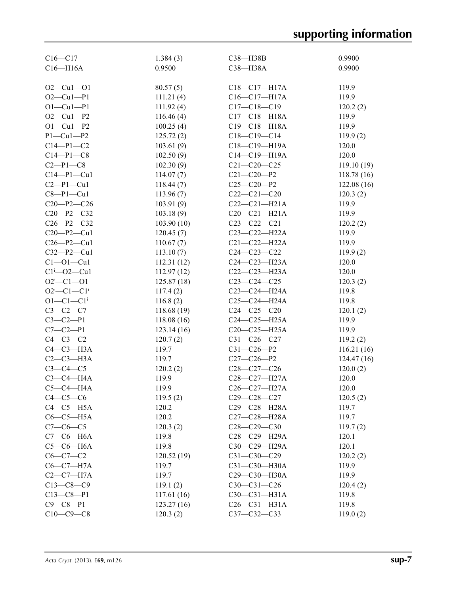| $C16 - C17$                 | 1.384(3)   | C38-H38B           | 0.9900     |
|-----------------------------|------------|--------------------|------------|
| $C16 - H16A$                | 0.9500     | C38-H38A           | 0.9900     |
|                             |            |                    |            |
| $O2 - Cu1 - O1$             | 80.57(5)   | $C18 - C17 - H17A$ | 119.9      |
| $O2 - Cu1 - P1$             | 111.21(4)  | $C16 - C17 - H17A$ | 119.9      |
| $O1 - Cu1 - P1$             | 111.92(4)  | $C17-C18-C19$      | 120.2(2)   |
| $O2 - Cu1 - P2$             | 116.46(4)  | $C17 - C18 - H18A$ | 119.9      |
| $O1 - Cu1 - P2$             | 100.25(4)  | $C19 - C18 - H18A$ | 119.9      |
| $P1 - Cu1 - P2$             | 125.72(2)  | $C18-C19-C14$      | 119.9(2)   |
| $C14 - P1 - C2$             | 103.61(9)  | $C18 - C19 - H19A$ | 120.0      |
| $C14 - P1 - C8$             | 102.50(9)  | C14-C19-H19A       | 120.0      |
| $C2-P1-C8$                  | 102.30(9)  | $C21 - C20 - C25$  | 119.10(19) |
| $C14-P1-Cu1$                |            | $C21 - C20 - P2$   |            |
|                             | 114.07(7)  |                    | 118.78(16) |
| $C2-P1-Cu1$                 | 118.44(7)  | $C25-C20-P2$       | 122.08(16) |
| $C8 - P1 - Cu1$             | 113.96(7)  | $C22-C21-C20$      | 120.3(2)   |
| $C20-P2-C26$                | 103.91(9)  | $C22-C21-H21A$     | 119.9      |
| $C20-P2-C32$                | 103.18(9)  | $C20-C21-H21A$     | 119.9      |
| $C26 - P2 - C32$            | 103.90(10) | $C23 - C22 - C21$  | 120.2(2)   |
| $C20 - P2 - Cu1$            | 120.45(7)  | $C23-C22-H22A$     | 119.9      |
| $C26 - P2 - Cu1$            | 110.67(7)  | $C21 - C22 - H22A$ | 119.9      |
| $C32 - P2 - Cu1$            | 113.10(7)  | $C24 - C23 - C22$  | 119.9(2)   |
| $Cl - O1 - Cu1$             | 112.31(12) | $C24-C23-H23A$     | 120.0      |
| $Cl^1$ -O2-Cul              | 112.97(12) | $C22-C23-H23A$     | 120.0      |
| $O2^i$ -C1- $O1$            | 125.87(18) | $C23-C24-C25$      | 120.3(2)   |
| $O2^i$ -Cl-Cl <sup>i</sup>  | 117.4(2)   | $C23-C24-H24A$     | 119.8      |
| $O1 - C1 - C1$ <sup>i</sup> | 116.8(2)   | C25-C24-H24A       | 119.8      |
| $C3 - C2 - C7$              | 118.68(19) | $C24 - C25 - C20$  | 120.1(2)   |
| $C3 - C2 - P1$              | 118.08(16) | $C24-C25-H25A$     | 119.9      |
| $C7 - C2 - P1$              | 123.14(16) | $C20-C25-H25A$     | 119.9      |
| $C4-C3-C2$                  | 120.7(2)   | $C31 - C26 - C27$  | 119.2(2)   |
| $C4-C3-H3A$                 | 119.7      | $C31 - C26 - P2$   | 116.21(16) |
| $C2-C3-H3A$                 | 119.7      | $C27-C26-P2$       | 124.47(16) |
| $C3-C4-C5$                  | 120.2(2)   | $C28-C27-C26$      | 120.0(2)   |
| $C3-C4-H4A$                 | 119.9      | C28-C27-H27A       | 120.0      |
| $C5-C4-H4A$                 | 119.9      | C26-C27-H27A       | 120.0      |
| $C4-C5-C6$                  | 119.5(2)   | $C29 - C28 - C27$  | 120.5(2)   |
| $C4-C5-H5A$                 | 120.2      | C29-C28-H28A       | 119.7      |
| $C6-C5-H5A$                 | 120.2      | C27-C28-H28A       | 119.7      |
| $C7 - C6 - C5$              | 120.3(2)   | $C28-C29-C30$      | 119.7(2)   |
| $C7-C6-H6A$                 | 119.8      | C28-C29-H29A       | 120.1      |
| $C5-C6-H6A$                 | 119.8      | C30-C29-H29A       | 120.1      |
| $C6 - C7 - C2$              | 120.52(19) | $C31 - C30 - C29$  |            |
|                             |            |                    | 120.2(2)   |
| $C6-C7-H7A$                 | 119.7      | C31-C30-H30A       | 119.9      |
| $C2-C7-H7A$                 | 119.7      | C29-C30-H30A       | 119.9      |
| $C13-C8-C9$                 | 119.1(2)   | $C30-C31-C26$      | 120.4(2)   |
| $C13 - C8 - P1$             | 117.61(16) | $C30-C31-H31A$     | 119.8      |
| $C9 - C8 - P1$              | 123.27(16) | $C26-C31-H31A$     | 119.8      |
| $C10-C9-C8$                 | 120.3(2)   | $C37 - C32 - C33$  | 119.0(2)   |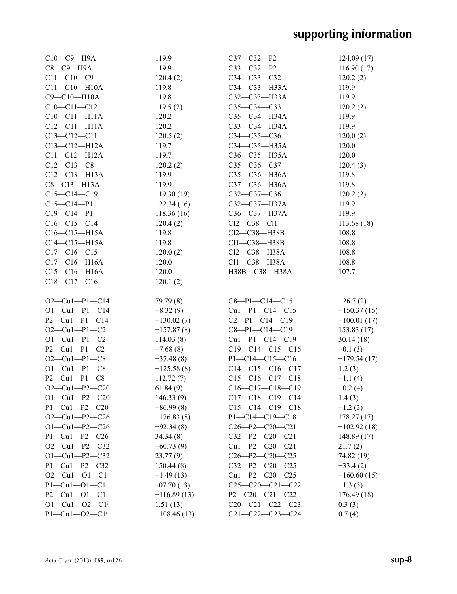| $C10-C9-H9A$          | 119.9         | $C37 - C32 - P2$        | 124.09(17)    |
|-----------------------|---------------|-------------------------|---------------|
| $C8-C9-H9A$           | 119.9         | $C33-C32-P2$            | 116.90(17)    |
| $C11 - C10 - C9$      | 120.4(2)      | $C34 - C33 - C32$       | 120.2(2)      |
| $C11 - C10 - H10A$    | 119.8         | СЗ4-СЗ3-НЗЗА            | 119.9         |
| C9-C10-H10A           | 119.8         | C32-C33-H33A            | 119.9         |
| $C10-C11-C12$         | 119.5(2)      | C35-C34-C33             | 120.2(2)      |
| $C10-C11-H11A$        | 120.2         | $C35 - C34 - H34A$      | 119.9         |
| $C12-C11-H11A$        | 120.2         | C33-C34-H34A            | 119.9         |
| $C13 - C12 - C11$     | 120.5(2)      | $C34 - C35 - C36$       | 120.0(2)      |
| $C13 - C12 - H12A$    | 119.7         | $C34-C35-H35A$          | 120.0         |
| $C11 - C12 - H12A$    | 119.7         | $C36-C35-H35A$          | 120.0         |
| $C12 - C13 - C8$      | 120.2(2)      | $C35 - C36 - C37$       | 120.4(3)      |
| $C12-C13-H13A$        | 119.9         | C35-C36-H36A            | 119.8         |
| $C8-C13-H13A$         | 119.9         | C37-C36-H36A            | 119.8         |
| $C15-C14-C19$         | 119.30(19)    | $C32-C37-C36$           | 120.2(2)      |
| $C15 - C14 - P1$      | 122.34(16)    | C32-C37-H37A            | 119.9         |
| $C19 - C14 - P1$      | 118.36(16)    | C36-C37-H37A            | 119.9         |
| $C16-C15-C14$         | 120.4(2)      | $Cl2-C38-C11$           | 113.68(18)    |
| $C16-C15-H15A$        | 119.8         | $Cl2-C38-H38B$          | 108.8         |
| $C14-C15-H15A$        | 119.8         | $Cl1-C38-H38B$          | 108.8         |
| $C17 - C16 - C15$     | 120.0(2)      | $Cl2-C38-H38A$          | 108.8         |
| $C17 - C16 - H16A$    | 120.0         | $Cl1-C38-H38A$          | 108.8         |
| $C15-C16-H16A$        | 120.0         |                         |               |
|                       |               | H38B-C38-H38A           | 107.7         |
| $C18 - C17 - C16$     | 120.1(2)      |                         |               |
| $O2-Cu1-P1-C14$       | 79.79 (8)     | $C8-P1-C14-C15$         | $-26.7(2)$    |
| $O1 - Cu1 - P1 - C14$ | $-8.32(9)$    | $Cu1-P1-C14-C15$        | $-150.37(15)$ |
| $P2 - Cu1 - P1 - C14$ | $-130.02(7)$  | $C2-P1-C14-C19$         | $-100.01(17)$ |
| $O2-Cu1-P1-C2$        | $-157.87(8)$  | $C8-P1-C14-C19$         | 153.83(17)    |
| $O1 - Cu1 - P1 - C2$  | 114.03(8)     | $Cu1-P1-C14-C19$        | 30.14(18)     |
| $P2 - Cu1 - P1 - C2$  | $-7.68(8)$    | $C19-C14-C15-C16$       | $-0.1(3)$     |
| $O2-Cu1-P1-C8$        | $-37.48(8)$   | $P1 - C14 - C15 - C16$  | $-179.54(17)$ |
| $O1 - Cu1 - P1 - C8$  | $-125.58(8)$  | $C14-C15-C16-C17$       | 1.2(3)        |
| $P2 - Cu1 - P1 - C8$  | 112.72(7)     | $C15-C16-C17-C18$       | $-1.1(4)$     |
| $O2-Cu1-P2-C20$       | 61.84(9)      | $C16-C17-C18-C19$       | $-0.2(4)$     |
| $O1 - Cu1 - P2 - C20$ | 146.33(9)     | $C17-C18-C19-C14$       | 1.4(3)        |
| $P1 - Cu1 - P2 - C20$ | $-86.99(8)$   | $C15-C14-C19-C18$       | $-1.2(3)$     |
| $O2-Cu1-P2-C26$       | $-176.83(8)$  | $P1 - C14 - C19 - C18$  | 178.27(17)    |
| $O1 - Cu1 - P2 - C26$ | $-92.34(8)$   | $C26 - P2 - C20 - C21$  | $-102.92(18)$ |
| $P1 - Cu1 - P2 - C26$ | 34.34(8)      | $C32 - P2 - C20 - C21$  | 148.89 (17)   |
| $O2-Cu1-P2-C32$       | $-60.73(9)$   | $Cu1-P2-C20-C21$        | 21.7(2)       |
| $O1-Cu1-P2-C32$       |               | $C26 - P2 - C20 - C25$  | 74.82 (19)    |
|                       | 23.77(9)      |                         |               |
| $P1 - Cu1 - P2 - C32$ | 150.44(8)     | $C32 - P2 - C20 - C25$  | $-33.4(2)$    |
| $O2-Cu1-O1-C1$        | $-1.49(13)$   | $Cu1 - P2 - C20 - C25$  | $-160.60(15)$ |
| $P1 - Cu1 - O1 - C1$  | 107.70(13)    | $C25-C20-C21-C22$       | $-1.3(3)$     |
| $P2 - Cu1 - O1 - C1$  | $-116.89(13)$ | P2-C20-C21-C22          | 176.49(18)    |
| $O1 - Cu1 - O2 - Cli$ | 1.51(13)      | $C20-C21-C22-C23$       | 0.3(3)        |
| $P1 - Cu1 - O2 - Cli$ | $-108.46(13)$ | $C21 - C22 - C23 - C24$ | 0.7(4)        |